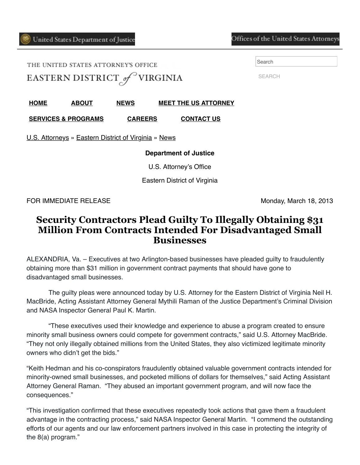## Offices of the United States Attorneys

THE UNITED STATES ATTORNEY'S OFFICE EASTERN DISTRICT of VIRGINIA Search

SEARCH

**[HOME](https://www.justice.gov/usao-edva) [ABOUT](https://www.justice.gov/usao-edva/about) [NEWS](https://www.justice.gov/usao-edva/pr) [MEET THE US ATTORNEY](https://www.justice.gov/usao-edva/meet-us-attorney)**

**[SERVICES & PROGRAMS](https://www.justice.gov/usao-edva/programs) [CAREERS](https://www.justice.gov/usao-edva/jobs) [CONTACT US](https://www.justice.gov/usao-edva/contact-us)**

[U.S. Attorneys](https://www.justice.gov/usao) » [Eastern District of Virginia](https://www.justice.gov/usao-edva) » [News](https://www.justice.gov/usao-edva/pr)

## **Department of Justice**

U.S. Attorney's Office

Eastern District of Virginia

FOR IMMEDIATE RELEASE Monday, March 18, 2013

## **Security Contractors Plead Guilty To Illegally Obtaining \$31 Million From Contracts Intended For Disadvantaged Small Businesses**

ALEXANDRIA, Va. – Executives at two Arlington-based businesses have pleaded guilty to fraudulently obtaining more than \$31 million in government contract payments that should have gone to disadvantaged small businesses.

 The guilty pleas were announced today by U.S. Attorney for the Eastern District of Virginia Neil H. MacBride, Acting Assistant Attorney General Mythili Raman of the Justice Department's Criminal Division and NASA Inspector General Paul K. Martin.

 "These executives used their knowledge and experience to abuse a program created to ensure minority small business owners could compete for government contracts," said U.S. Attorney MacBride. "They not only illegally obtained millions from the United States, they also victimized legitimate minority owners who didn't get the bids."

"Keith Hedman and his co-conspirators fraudulently obtained valuable government contracts intended for minority-owned small businesses, and pocketed millions of dollars for themselves," said Acting Assistant Attorney General Raman. "They abused an important government program, and will now face the consequences."

"This investigation confirmed that these executives repeatedly took actions that gave them a fraudulent advantage in the contracting process," said NASA Inspector General Martin. "I commend the outstanding efforts of our agents and our law enforcement partners involved in this case in protecting the integrity of the 8(a) program."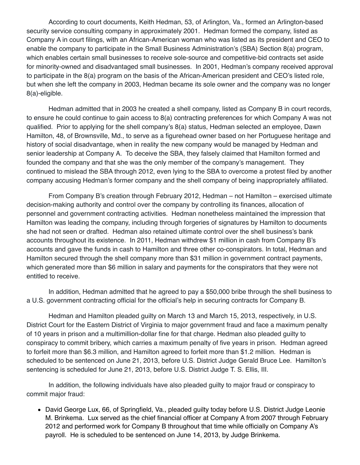According to court documents, Keith Hedman, 53, of Arlington, Va., formed an Arlington-based security service consulting company in approximately 2001. Hedman formed the company, listed as Company A in court filings, with an African-American woman who was listed as its president and CEO to enable the company to participate in the Small Business Administration's (SBA) Section 8(a) program, which enables certain small businesses to receive sole-source and competitive-bid contracts set aside for minority-owned and disadvantaged small businesses. In 2001, Hedman's company received approval to participate in the 8(a) program on the basis of the African-American president and CEO's listed role, but when she left the company in 2003, Hedman became its sole owner and the company was no longer 8(a)-eligible.

 Hedman admitted that in 2003 he created a shell company, listed as Company B in court records, to ensure he could continue to gain access to 8(a) contracting preferences for which Company A was not qualified. Prior to applying for the shell company's 8(a) status, Hedman selected an employee, Dawn Hamilton, 48, of Brownsville, Md., to serve as a figurehead owner based on her Portuguese heritage and history of social disadvantage, when in reality the new company would be managed by Hedman and senior leadership at Company A. To deceive the SBA, they falsely claimed that Hamilton formed and founded the company and that she was the only member of the company's management. They continued to mislead the SBA through 2012, even lying to the SBA to overcome a protest filed by another company accusing Hedman's former company and the shell company of being inappropriately affiliated.

 From Company B's creation through February 2012, Hedman – not Hamilton – exercised ultimate decision-making authority and control over the company by controlling its finances, allocation of personnel and government contracting activities. Hedman nonetheless maintained the impression that Hamilton was leading the company, including through forgeries of signatures by Hamilton to documents she had not seen or drafted. Hedman also retained ultimate control over the shell business's bank accounts throughout its existence. In 2011, Hedman withdrew \$1 million in cash from Company B's accounts and gave the funds in cash to Hamilton and three other co-conspirators. In total, Hedman and Hamilton secured through the shell company more than \$31 million in government contract payments, which generated more than \$6 million in salary and payments for the conspirators that they were not entitled to receive.

 In addition, Hedman admitted that he agreed to pay a \$50,000 bribe through the shell business to a U.S. government contracting official for the official's help in securing contracts for Company B.

 Hedman and Hamilton pleaded guilty on March 13 and March 15, 2013, respectively, in U.S. District Court for the Eastern District of Virginia to major government fraud and face a maximum penalty of 10 years in prison and a multimillion-dollar fine for that charge. Hedman also pleaded guilty to conspiracy to commit bribery, which carries a maximum penalty of five years in prison. Hedman agreed to forfeit more than \$6.3 million, and Hamilton agreed to forfeit more than \$1.2 million. Hedman is scheduled to be sentenced on June 21, 2013, before U.S. District Judge Gerald Bruce Lee. Hamilton's sentencing is scheduled for June 21, 2013, before U.S. District Judge T. S. Ellis, III.

 In addition, the following individuals have also pleaded guilty to major fraud or conspiracy to commit major fraud:

• David George Lux, 66, of Springfield, Va., pleaded guilty today before U.S. District Judge Leonie M. Brinkema. Lux served as the chief financial officer at Company A from 2007 through February 2012 and performed work for Company B throughout that time while officially on Company A's payroll. He is scheduled to be sentenced on June 14, 2013, by Judge Brinkema.